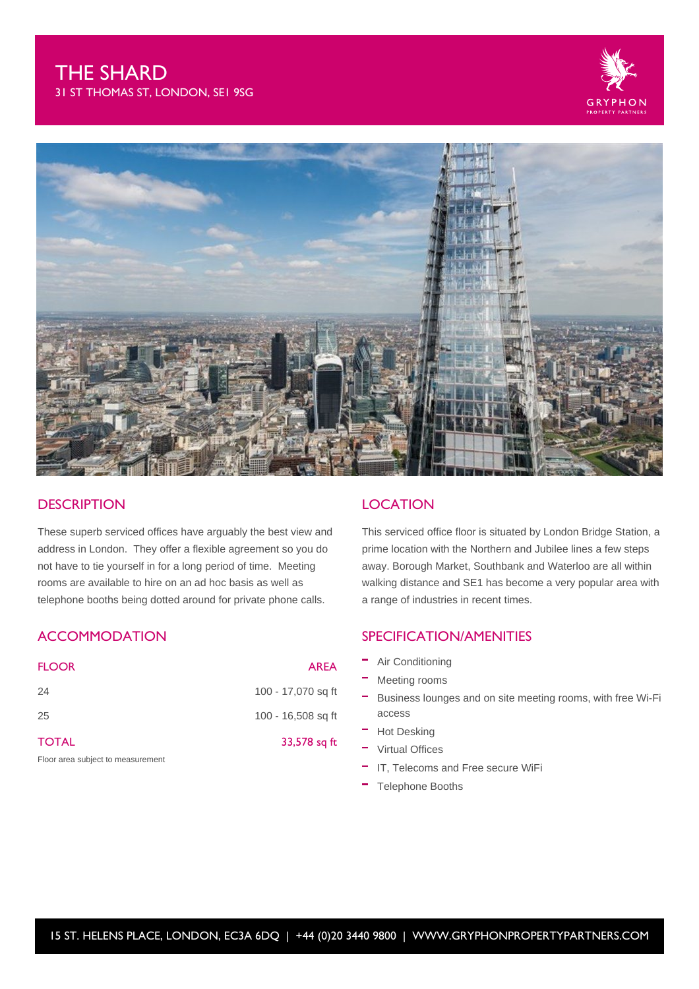



## **DESCRIPTION**

These superb serviced offices have arguably the best view and address in London. They offer a flexible agreement so you do not have to tie yourself in for a long period of time. Meeting rooms are available to hire on an ad hoc basis as well as telephone booths being dotted around for private phone calls.

# **ACCOMMODATION**

| <b>FLOOR</b>                      | <b>AREA</b>        |
|-----------------------------------|--------------------|
| 24                                | 100 - 17,070 sq ft |
| 25                                | 100 - 16,508 sq ft |
| <b>TOTAL</b>                      | 33,578 sq ft       |
| Floor area subject to measurement |                    |

## **LOCATION**

This serviced office floor is situated by London Bridge Station, a prime location with the Northern and Jubilee lines a few steps away. Borough Market, Southbank and Waterloo are all within walking distance and SE1 has become a very popular area with a range of industries in recent times.

## SPECIFICATION/AMENITIES

- Air Conditioning
- Meeting rooms
- Business lounges and on site meeting rooms, with free Wi-Fi access
- Hot Desking
- Virtual Offices
- IT, Telecoms and Free secure WiFi
- Telephone Booths